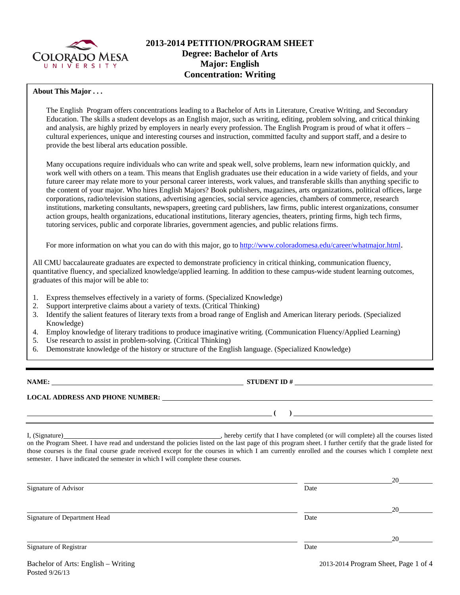

### **About This Major . . .**

The English Program offers concentrations leading to a Bachelor of Arts in Literature, Creative Writing, and Secondary Education. The skills a student develops as an English major, such as writing, editing, problem solving, and critical thinking and analysis, are highly prized by employers in nearly every profession. The English Program is proud of what it offers – cultural experiences, unique and interesting courses and instruction, committed faculty and support staff, and a desire to provide the best liberal arts education possible.

Many occupations require individuals who can write and speak well, solve problems, learn new information quickly, and work well with others on a team. This means that English graduates use their education in a wide variety of fields, and your future career may relate more to your personal career interests, work values, and transferable skills than anything specific to the content of your major. Who hires English Majors? Book publishers, magazines, arts organizations, political offices, large corporations, radio/television stations, advertising agencies, social service agencies, chambers of commerce, research institutions, marketing consultants, newspapers, greeting card publishers, law firms, public interest organizations, consumer action groups, health organizations, educational institutions, literary agencies, theaters, printing firms, high tech firms, tutoring services, public and corporate libraries, government agencies, and public relations firms.

For more information on what you can do with this major, go to http://www.coloradomesa.edu/career/whatmajor.html.

All CMU baccalaureate graduates are expected to demonstrate proficiency in critical thinking, communication fluency, quantitative fluency, and specialized knowledge/applied learning. In addition to these campus-wide student learning outcomes, graduates of this major will be able to:

- 1. Express themselves effectively in a variety of forms. (Specialized Knowledge)
- 2. Support interpretive claims about a variety of texts. (Critical Thinking)
- 3. Identify the salient features of literary texts from a broad range of English and American literary periods. (Specialized Knowledge)
- 4. Employ knowledge of literary traditions to produce imaginative writing. (Communication Fluency/Applied Learning)
- 5. Use research to assist in problem-solving. (Critical Thinking)
- 6. Demonstrate knowledge of the history or structure of the English language. (Specialized Knowledge)

**NAME: STUDENT ID #** 

 **( )** 

# **LOCAL ADDRESS AND PHONE NUMBER:**

I, (Signature) , hereby certify that I have completed (or will complete) all the courses listed on the Program Sheet. I have read and understand the policies listed on the last page of this program sheet. I further certify that the grade listed for those courses is the final course grade received except for the courses in which I am currently enrolled and the courses which I complete next semester. I have indicated the semester in which I will complete these courses.

|                              |      | 20 |
|------------------------------|------|----|
| Signature of Advisor         | Date |    |
|                              |      | 20 |
| Signature of Department Head | Date |    |
|                              |      | 20 |
| Signature of Registrar       | Date |    |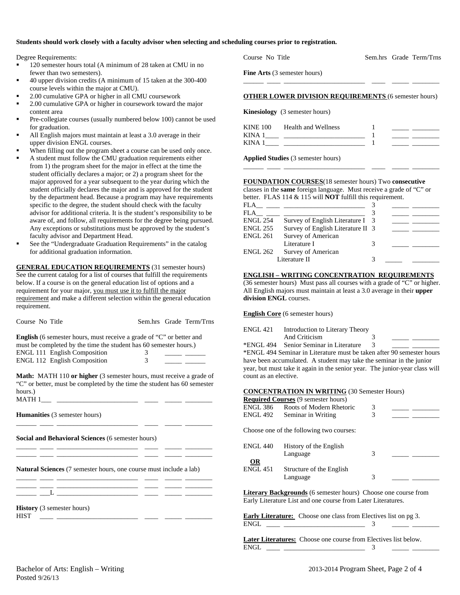#### **Students should work closely with a faculty advisor when selecting and scheduling courses prior to registration.**

Degree Requirements:

- 120 semester hours total (A minimum of 28 taken at CMU in no fewer than two semesters).
- 40 upper division credits (A minimum of 15 taken at the 300-400 course levels within the major at CMU).
- 2.00 cumulative GPA or higher in all CMU coursework
- 2.00 cumulative GPA or higher in coursework toward the major content area
- Pre-collegiate courses (usually numbered below 100) cannot be used for graduation.
- All English majors must maintain at least a 3.0 average in their upper division ENGL courses.
- When filling out the program sheet a course can be used only once.
- A student must follow the CMU graduation requirements either from 1) the program sheet for the major in effect at the time the student officially declares a major; or 2) a program sheet for the major approved for a year subsequent to the year during which the student officially declares the major and is approved for the student by the department head. Because a program may have requirements specific to the degree, the student should check with the faculty advisor for additional criteria. It is the student's responsibility to be aware of, and follow, all requirements for the degree being pursued. Any exceptions or substitutions must be approved by the student's faculty advisor and Department Head.
- See the "Undergraduate Graduation Requirements" in the catalog for additional graduation information.

**GENERAL EDUCATION REQUIREMENTS** (31 semester hours) See the current catalog for a list of courses that fulfill the requirements below. If a course is on the general education list of options and a requirement for your major, you must use it to fulfill the major requirement and make a different selection within the general education requirement.

Course No Title Sem.hrs Grade Term/Trns

| <b>English</b> (6 semester hours, must receive a grade of "C" or better and |  |
|-----------------------------------------------------------------------------|--|
| must be completed by the time the student has 60 semester hours.)           |  |
| <b>ENGL 111 English Composition</b>                                         |  |
| <b>ENGL 112 English Composition</b>                                         |  |

**Math:** MATH 110 **or higher** (3 semester hours, must receive a grade of "C" or better, must be completed by the time the student has 60 semester hours.) MATH 1\_\_\_ \_\_\_\_\_\_\_\_\_\_\_\_\_\_\_\_\_\_\_\_\_\_\_\_ \_\_\_\_ \_\_\_\_\_ \_\_\_\_\_\_\_\_

\_\_\_\_\_\_ \_\_\_\_ \_\_\_\_\_\_\_\_\_\_\_\_\_\_\_\_\_\_\_\_\_\_\_\_ \_\_\_\_ \_\_\_\_\_ \_\_\_\_\_\_\_\_

\_\_\_\_\_\_ \_\_\_\_ \_\_\_\_\_\_\_\_\_\_\_\_\_\_\_\_\_\_\_\_\_\_\_\_ \_\_\_\_ \_\_\_\_\_ \_\_\_\_\_\_\_\_ \_\_\_\_\_\_ \_\_\_\_ \_\_\_\_\_\_\_\_\_\_\_\_\_\_\_\_\_\_\_\_\_\_\_\_ \_\_\_\_ \_\_\_\_\_ \_\_\_\_\_\_\_\_

**Humanities** (3 semester hours)

**Social and Behavioral Sciences** (6 semester hours)

**Natural Sciences** (7 semester hours, one course must include a lab)

|  | the contract of the contract of the contract of the contract of the contract of the contract of the contract of<br>the control of the control of the control of the control of the control of the control of the control of the control of the control of the control of the control of the control of the control of the control of the control |  |  |
|--|--------------------------------------------------------------------------------------------------------------------------------------------------------------------------------------------------------------------------------------------------------------------------------------------------------------------------------------------------|--|--|
|  | the control of the control of the control of the control of the control of the control of the control of the control of the control of the control of the control of the control of the control of the control of the control<br>________                                                                                                        |  |  |
|  |                                                                                                                                                                                                                                                                                                                                                  |  |  |

**History** (3 semester hours)  $HIST \t1$ 

Course No Title Sem.hrs Grade Term/Trns

**Fine Arts** (3 semester hours)

#### **OTHER LOWER DIVISION REQUIREMENTS** (6 semester hours)

\_\_\_\_\_\_ \_\_\_\_ \_\_\_\_\_\_\_\_\_\_\_\_\_\_\_\_\_\_\_\_\_\_\_\_ \_\_\_\_ \_\_\_\_\_ \_\_\_\_\_\_\_\_

|  | <b>Kinesiology</b> (3 semester hours) |  |
|--|---------------------------------------|--|
|--|---------------------------------------|--|

| <b>KINE 100</b> | <b>Health and Wellness</b> |  |  |
|-----------------|----------------------------|--|--|
| <b>KINA</b>     |                            |  |  |
| <b>KINA</b>     |                            |  |  |
|                 |                            |  |  |

\_\_\_\_\_\_ \_\_\_\_ \_\_\_\_\_\_\_\_\_\_\_\_\_\_\_\_\_\_\_\_\_\_\_\_ \_\_\_\_ \_\_\_\_\_ \_\_\_\_\_\_\_\_

**Applied Studies** (3 semester hours)

# **FOUNDATION COURSES**(18 semester hours) Two **consecutive**

classes in the **same** foreign language. Must receive a grade of "C" or better. FLAS 114 & 115 will **NOT** fulfill this requirement.

| <b>FLA</b>      |                                   |  |  |
|-----------------|-----------------------------------|--|--|
| FLA             |                                   |  |  |
| <b>ENGL 254</b> | Survey of English Literature I 3  |  |  |
| <b>ENGL 255</b> | Survey of English Literature II 3 |  |  |
| <b>ENGL 261</b> | Survey of American                |  |  |
|                 | Literature I                      |  |  |
| <b>ENGL 262</b> | Survey of American                |  |  |
|                 | Literature II                     |  |  |

#### **ENGLISH – WRITING CONCENTRATION REQUIREMENTS**

(36 semester hours) Must pass all courses with a grade of "C" or higher. All English majors must maintain at least a 3.0 average in their **upper division ENGL** courses.

#### **English Core** (6 semester hours)

| ENGL 421 | Introduction to Literary Theory        |  |  |
|----------|----------------------------------------|--|--|
|          | And Criticism                          |  |  |
|          | *ENGL 494 Senior Seminar in Literature |  |  |

\*ENGL 494 Seminar in Literature must be taken after 90 semester hours have been accumulated. A student may take the seminar in the junior year, but must take it again in the senior year. The junior-year class will count as an elective.

#### **CONCENTRATION IN WRITING** (30 Semester Hours)

**Literary Backgrounds** (6 semester hours) Choose one course from Early Literature List and one course from Later Literatures.

**Early Literature:** Choose one class from Electives list on pg 3. ENGL \_\_\_\_ \_\_\_\_\_\_\_\_\_\_\_\_\_\_\_\_\_\_\_\_\_\_\_\_ 3 \_\_\_\_\_ \_\_\_\_\_\_\_\_

**Later Literatures:** Choose one course from Electives list below. ENGL \_\_\_\_ \_\_\_\_\_\_\_\_\_\_\_\_\_\_\_\_\_\_\_\_\_\_\_\_ 3 \_\_\_\_\_ \_\_\_\_\_\_\_\_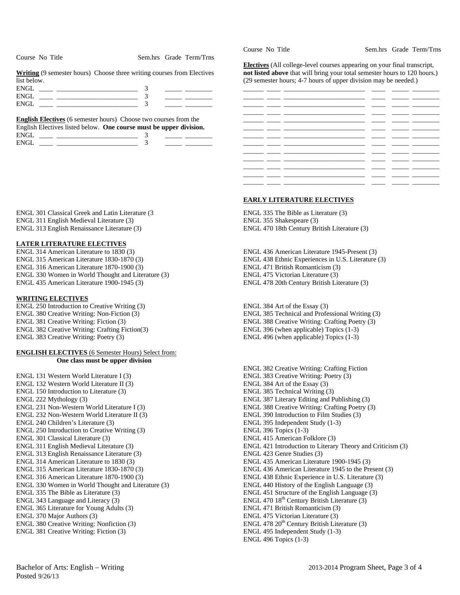|             | <b>Writing</b> (9 semester hours) Choose three writing courses from Electives |  |
|-------------|-------------------------------------------------------------------------------|--|
| list below. |                                                                               |  |
| ENGL.       |                                                                               |  |

Course No Title Sem.hrs Grade Term/Trns

|             | <b>English Electives</b> (6 semester hours) Choose two courses from the |  |
|-------------|-------------------------------------------------------------------------|--|
|             | English Electives listed below. One course must be upper division.      |  |
| <b>ENGL</b> |                                                                         |  |
| ENGL        |                                                                         |  |

ENGL 301 Classical Greek and Latin Literature (3 ENGL 311 English Medieval Literature (3) ENGL 313 English Renaissance Literature (3)

# **LATER LITERATURE ELECTIVES**

ENGL 314 American Literature to 1830 (3) ENGL 315 American Literature 1830-1870 (3) ENGL 316 American Literature 1870-1900 (3) ENGL 330 Women in World Thought and Literature (3) ENGL 435 American Literature 1900-1945 (3)

# **WRITING ELECTIVES**

ENGL 250 Introduction to Creative Writing (3) ENGL 380 Creative Writing: Non-Fiction (3) ENGL 381 Creative Writing: Fiction (3) ENGL 382 Creative Writing: Crafting Fiction(3) ENGL 383 Creative Writing: Poetry (3)

# **ENGLISH ELECTIVES** (6 Semester Hours) Select from: **One class must be upper division**

ENGL 131 Western World Literature I (3) ENGL 132 Western World Literature II (3) ENGL 150 Introduction to Literature (3) ENGL 222 Mythology (3) ENGL 231 Non-Western World Literature I (3) ENGL 232 Non-Western World Literature II (3) ENGL 240 Children's Literature (3) ENGL 250 Introduction to Creative Writing (3) ENGL 301 Classical Literature (3) ENGL 311 English Medieval Literature (3) ENGL 313 English Renaissance Literature (3) ENGL 314 American Literature to 1830 (3) ENGL 315 American Literature 1830-1870 (3) ENGL 316 American Literature 1870-1900 (3) ENGL 330 Women in World Thought and Literature (3) ENGL 335 The Bible as Literature (3) ENGL 343 Language and Literacy (3) ENGL 365 Literature for Young Adults (3) ENGL 370 Major Authors (3) ENGL 380 Creative Writing: Nonfiction (3) ENGL 381 Creative Writing: Fiction (3)

Course No Title Sem.hrs Grade Term/Trns

**Electives** (All college-level courses appearing on your final transcript, **not listed above** that will bring your total semester hours to 120 hours.) (29 semester hours; 4-7 hours of upper division may be needed.)



# **EARLY LITERATURE ELECTIVES**

ENGL 335 The Bible as Literature (3) ENGL 355 Shakespeare (3) ENGL 470 18th Century British Literature (3)

ENGL 436 American Literature 1945-Present (3) ENGL 438 Ethnic Experiences in U.S. Literature (3) ENGL 471 British Romanticism (3) ENGL 475 Victorian Literature (3) ENGL 478 20th Century British Literature (3)

ENGL 384 Art of the Essay (3) ENGL 385 Technical and Professional Writing (3) ENGL 388 Creative Writing: Crafting Poetry (3) ENGL 396 (when applicable) Topics (1-3) ENGL 496 (when applicable) Topics (1-3)

ENGL 382 Creative Writing: Crafting Fiction ENGL 383 Creative Writing: Poetry (3) ENGL 384 Art of the Essay (3) ENGL 385 Technical Writing (3) ENGL 387 Literary Editing and Publishing (3) ENGL 388 Creative Writing: Crafting Poetry (3) ENGL 390 Introduction to Film Studies (3) ENGL 395 Independent Study (1-3) ENGL 396 Topics (1-3) ENGL 415 American Folklore (3) ENGL 421 Introduction to Literary Theory and Criticism (3) ENGL 423 Genre Studies (3) ENGL 435 American Literature 1900-1945 (3) ENGL 436 American Literature 1945 to the Present (3) ENGL 438 Ethnic Experience in U.S. Literature (3) ENGL 440 History of the English Language (3) ENGL 451 Structure of the English Language (3) ENGL 470  $18<sup>th</sup>$  Century British Literature (3) ENGL 471 British Romanticism (3) ENGL 475 Victorian Literature (3) ENGL 478  $20<sup>th</sup>$  Century British Literature (3) ENGL 495 Independent Study (1-3) ENGL 496 Topics (1-3)